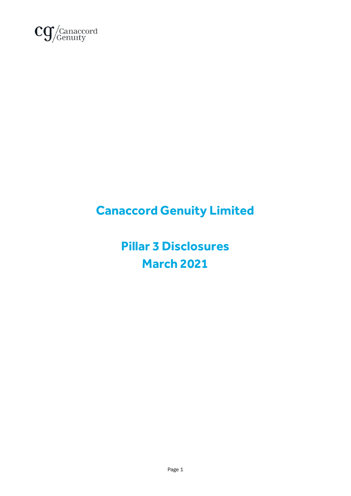

# **Canaccord Genuity Limited**

**Pillar 3 Disclosures March 2021**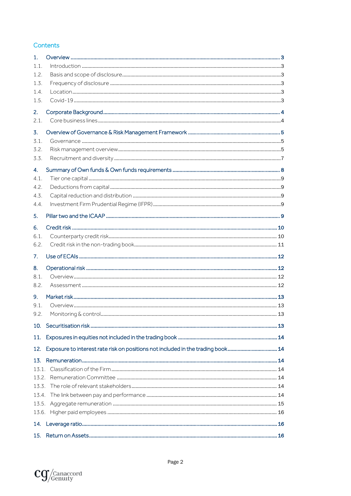#### Contents

| 1.    |                                                                                 |  |
|-------|---------------------------------------------------------------------------------|--|
| 1.1   |                                                                                 |  |
| 1.2   |                                                                                 |  |
| 1.3.  |                                                                                 |  |
| 1.4.  |                                                                                 |  |
| 1.5.  |                                                                                 |  |
| 2.    |                                                                                 |  |
| 2.1.  |                                                                                 |  |
| 3.    |                                                                                 |  |
| 3.1   |                                                                                 |  |
| 3.2.  |                                                                                 |  |
| 3.3.  |                                                                                 |  |
| 4.    |                                                                                 |  |
| 4.1.  |                                                                                 |  |
|       |                                                                                 |  |
| 4.2.  |                                                                                 |  |
| 4.3.  |                                                                                 |  |
| 4.4.  |                                                                                 |  |
| 5.    |                                                                                 |  |
| 6.    |                                                                                 |  |
| 6.1.  |                                                                                 |  |
| 6.2.  |                                                                                 |  |
| 7.    |                                                                                 |  |
| 8.    |                                                                                 |  |
| 8.1.  |                                                                                 |  |
| 8.2.  |                                                                                 |  |
| 9.    |                                                                                 |  |
| 9.1   |                                                                                 |  |
| 9.2.  |                                                                                 |  |
| 10.   |                                                                                 |  |
| 11.   |                                                                                 |  |
| 12.   | Exposure to interest rate risk on positions not included in the trading book 14 |  |
| 13.   |                                                                                 |  |
|       |                                                                                 |  |
|       |                                                                                 |  |
| 133   |                                                                                 |  |
| 13.4. |                                                                                 |  |
| 13.5. |                                                                                 |  |
| 13.6. |                                                                                 |  |
|       |                                                                                 |  |
| 14.   |                                                                                 |  |
| 15.   |                                                                                 |  |

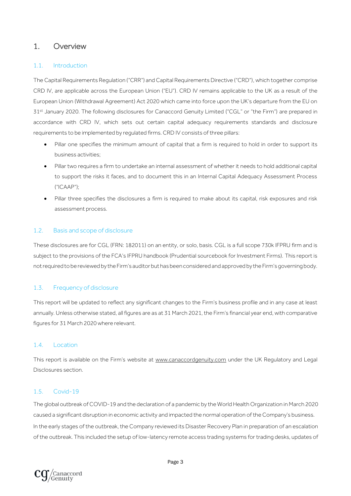### <span id="page-2-0"></span>1. Overview

#### <span id="page-2-1"></span>1.1. Introduction

The Capital Requirements Regulation ("CRR") and Capital Requirements Directive ("CRD"), which together comprise CRD IV, are applicable across the European Union ("EU"). CRD IV remains applicable to the UK as a result of the European Union (Withdrawal Agreement) Act 2020 which came into force upon the UK's departure from the EU on 31<sup>st</sup> January 2020. The following disclosures for Canaccord Genuity Limited ("CGL" or "the Firm") are prepared in accordance with CRD IV, which sets out certain capital adequacy requirements standards and disclosure requirements to be implemented by regulated firms. CRD IV consists of three pillars:

- Pillar one specifies the minimum amount of capital that a firm is required to hold in order to support its business activities;
- Pillar two requires a firm to undertake an internal assessment of whether it needs to hold additional capital to support the risks it faces, and to document this in an Internal Capital Adequacy Assessment Process ("ICAAP");
- Pillar three specifies the disclosures a firm is required to make about its capital, risk exposures and risk assessment process.

#### <span id="page-2-2"></span>1.2. Basis and scope of disclosure

These disclosures are for CGL (FRN: 182011) on an entity, or solo, basis. CGL is a full scope 730k IFPRU firm and is subject to the provisions of the FCA's IFPRU handbook (Prudential sourcebook for Investment Firms). This report is not required to be reviewed by the Firm's auditor but has been considered and approved by the Firm's governing body.

#### <span id="page-2-3"></span>1.3. Frequency of disclosure

This report will be updated to reflect any significant changes to the Firm's business profile and in any case at least annually. Unless otherwise stated, all figures are as at 31 March 2021, the Firm's financial year end, with comparative figures for 31 March 2020 where relevant.

#### <span id="page-2-4"></span>1.4. Location

This report is available on the Firm's website at [www.canaccordgenuity.com](http://www.canaccordgenuity.com/) under the UK Regulatory and Legal Disclosures section.

#### <span id="page-2-5"></span>1.5. Covid-19

The global outbreak of COVID-19 and the declaration of a pandemic by the World Health Organization in March 2020 caused a significant disruption in economic activity and impacted the normal operation of the Company's business. In the early stages of the outbreak, the Company reviewed its Disaster Recovery Plan in preparation of an escalation of the outbreak. This included the setup of low-latency remote access trading systems for trading desks, updates of

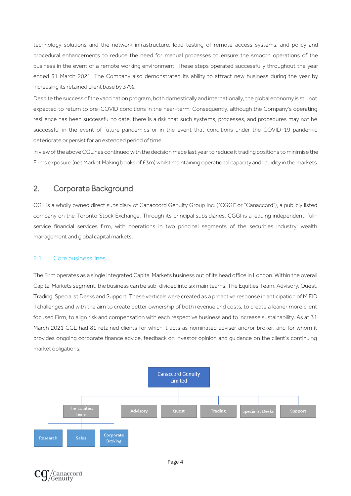technology solutions and the network infrastructure, load testing of remote access systems, and policy and procedural enhancements to reduce the need for manual processes to ensure the smooth operations of the business in the event of a remote working environment. These steps operated successfully throughout the year ended 31 March 2021. The Company also demonstrated its ability to attract new business during the year by increasing its retained client base by 37%.

Despite the success of the vaccination program, both domestically and internationally, the global economy is still not expected to return to pre-COVID conditions in the near-term. Consequently, although the Company's operating resilience has been successful to date, there is a risk that such systems, processes, and procedures may not be successful in the event of future pandemics or in the event that conditions under the COVID-19 pandemic deteriorate or persist for an extended period of time.

In view of the above CGL has continued with the decision made last year to reduce it trading positions to minimise the Firms exposure (net Market Making books of £3m) whilst maintaining operational capacity and liquidity in the markets.

### <span id="page-3-0"></span>2. Corporate Background

CGL is a wholly owned direct subsidiary of Canaccord Genuity Group Inc. ("CGGI" or "Canaccord"), a publicly listed company on the Toronto Stock Exchange. Through its principal subsidiaries, CGGI is a leading independent, fullservice financial services firm, with operations in two principal segments of the securities industry: wealth management and global capital markets.

#### <span id="page-3-1"></span>2.1. Core business lines

The Firm operates as a single integrated Capital Markets business out of its head office in London. Within the overall Capital Markets segment, the business can be sub-divided into six main teams: The Equities Team, Advisory, Quest, Trading, Specialist Desks and Support. These verticals were created as a proactive response in anticipation of MiFID II challenges and with the aim to create better ownership of both revenue and costs, to create a leaner more client focused Firm, to align risk and compensation with each respective business and to increase sustainability. As at 31 March 2021 CGL had 81 retained clients for which it acts as nominated adviser and/or broker, and for whom it provides ongoing corporate finance advice, feedback on investor opinion and guidance on the client's continuing market obligations.



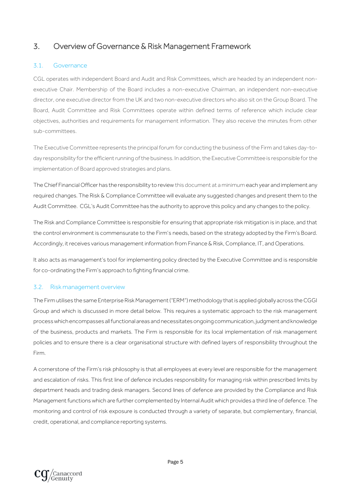### <span id="page-4-0"></span>3. Overview of Governance & Risk Management Framework

#### <span id="page-4-1"></span>3.1. Governance

CGL operates with independent Board and Audit and Risk Committees, which are headed by an independent nonexecutive Chair. Membership of the Board includes a non-executive Chairman, an independent non-executive director, one executive director from the UK and two non-executive directors who also sit on the Group Board. The Board, Audit Committee and Risk Committees operate within defined terms of reference which include clear objectives, authorities and requirements for management information. They also receive the minutes from other sub-committees.

The Executive Committee represents the principal forum for conducting the business of the Firm and takes day-today responsibility for the efficient running of the business. In addition, the Executive Committee is responsible for the implementation of Board approved strategies and plans.

The Chief Financial Officer has the responsibility to review this document at a minimum each year and implement any required changes. The Risk & Compliance Committee will evaluate any suggested changes and present them to the Audit Committee. CGL's Audit Committee has the authority to approve this policy and any changes to the policy.

The Risk and Compliance Committee is responsible for ensuring that appropriate risk mitigation is in place, and that the control environment is commensurate to the Firm's needs, based on the strategy adopted by the Firm's Board. Accordingly, it receives various management information from Finance & Risk, Compliance, IT, and Operations.

It also acts as management's tool for implementing policy directed by the Executive Committee and is responsible for co-ordinating the Firm's approach to fighting financial crime.

#### <span id="page-4-2"></span>3.2. Risk management overview

The Firm utilises the same Enterprise Risk Management ("ERM") methodology that is applied globally across the CGGI Group and which is discussed in more detail below. This requires a systematic approach to the risk management process which encompasses all functional areas and necessitates ongoing communication, judgment and knowledge of the business, products and markets. The Firm is responsible for its local implementation of risk management policies and to ensure there is a clear organisational structure with defined layers of responsibility throughout the Firm.

A cornerstone of the Firm's risk philosophy is that all employees at every level are responsible for the management and escalation of risks. This first line of defence includes responsibility for managing risk within prescribed limits by department heads and trading desk managers. Second lines of defence are provided by the Compliance and Risk Management functions which are further complemented by Internal Audit which provides a third line of defence. The monitoring and control of risk exposure is conducted through a variety of separate, but complementary, financial, credit, operational, and compliance reporting systems.

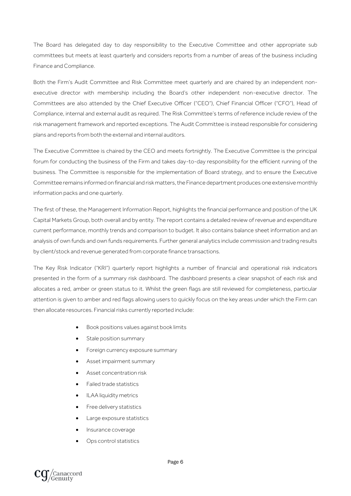The Board has delegated day to day responsibility to the Executive Committee and other appropriate sub committees but meets at least quarterly and considers reports from a number of areas of the business including Finance and Compliance.

Both the Firm's Audit Committee and Risk Committee meet quarterly and are chaired by an independent nonexecutive director with membership including the Board's other independent non-executive director. The Committees are also attended by the Chief Executive Officer ("CEO"), Chief Financial Officer ("CFO"), Head of Compliance, internal and external audit as required. The Risk Committee's terms of reference include review of the risk management framework and reported exceptions. The Audit Committee is instead responsible for considering plans and reports from both the external and internal auditors.

The Executive Committee is chaired by the CEO and meets fortnightly. The Executive Committee is the principal forum for conducting the business of the Firm and takes day-to-day responsibility for the efficient running of the business. The Committee is responsible for the implementation of Board strategy, and to ensure the Executive Committee remains informed on financial and risk matters, the Finance department produces one extensive monthly information packs and one quarterly.

The first of these, the Management Information Report, highlights the financial performance and position of the UK Capital Markets Group, both overall and by entity. The report contains a detailed review of revenue and expenditure current performance, monthly trends and comparison to budget. It also contains balance sheet information and an analysis of own funds and own funds requirements. Further general analytics include commission and trading results by client/stock and revenue generated from corporate finance transactions.

The Key Risk Indicator ("KRI") quarterly report highlights a number of financial and operational risk indicators presented in the form of a summary risk dashboard. The dashboard presents a clear snapshot of each risk and allocates a red, amber or green status to it. Whilst the green flags are still reviewed for completeness, particular attention is given to amber and red flags allowing users to quickly focus on the key areas under which the Firm can then allocate resources. Financial risks currently reported include:

- Book positions values against book limits
- Stale position summary
- Foreign currency exposure summary
- Asset impairment summary
- Asset concentration risk
- Failed trade statistics
- ILAA liquidity metrics
- Free delivery statistics
- Large exposure statistics
- Insurance coverage
- Ops control statistics

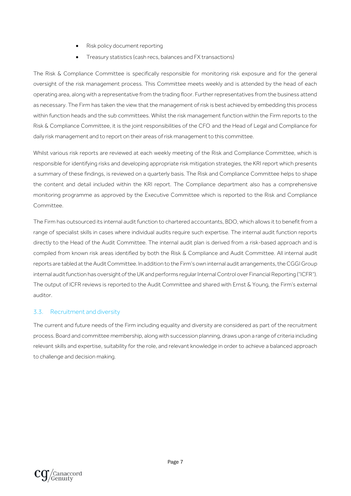- Risk policy document reporting
- Treasury statistics (cash recs, balances and FX transactions)

The Risk & Compliance Committee is specifically responsible for monitoring risk exposure and for the general oversight of the risk management process. This Committee meets weekly and is attended by the head of each operating area, along with a representative from the trading floor. Further representatives from the business attend as necessary. The Firm has taken the view that the management of risk is best achieved by embedding this process within function heads and the sub committees. Whilst the risk management function within the Firm reports to the Risk & Compliance Committee, it is the joint responsibilities of the CFO and the Head of Legal and Compliance for daily risk management and to report on their areas of risk management to this committee.

Whilst various risk reports are reviewed at each weekly meeting of the Risk and Compliance Committee, which is responsible for identifying risks and developing appropriate risk mitigation strategies, the KRI report which presents a summary of these findings, is reviewed on a quarterly basis. The Risk and Compliance Committee helps to shape the content and detail included within the KRI report. The Compliance department also has a comprehensive monitoring programme as approved by the Executive Committee which is reported to the Risk and Compliance Committee.

The Firm has outsourced its internal audit function to chartered accountants, BDO, which allows it to benefit from a range of specialist skills in cases where individual audits require such expertise. The internal audit function reports directly to the Head of the Audit Committee. The internal audit plan is derived from a risk-based approach and is compiled from known risk areas identified by both the Risk & Compliance and Audit Committee. All internal audit reports are tabled at the Audit Committee. In addition to the Firm's own internal audit arrangements, the CGGI Group internal audit function has oversight of the UK and performs regular Internal Control over Financial Reporting ("ICFR"). The output of ICFR reviews is reported to the Audit Committee and shared with Ernst & Young, the Firm's external auditor.

#### <span id="page-6-0"></span>3.3. Recruitment and diversity

The current and future needs of the Firm including equality and diversity are considered as part of the recruitment process. Board and committee membership, along with succession planning, draws upon a range of criteria including relevant skills and expertise, suitability for the role, and relevant knowledge in order to achieve a balanced approach to challenge and decision making.

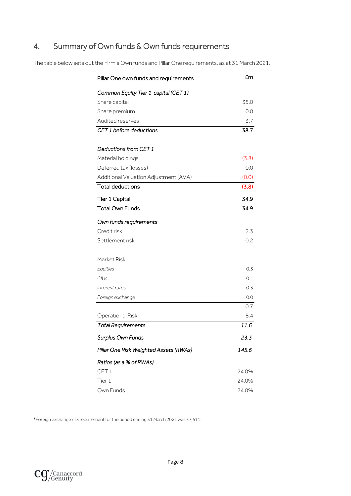## <span id="page-7-0"></span>4. Summary of Own funds & Own funds requirements

The table below sets out the Firm's Own funds and Pillar One requirements, as at 31 March 2021.

| Pillar One own funds and requirements  | £m    |
|----------------------------------------|-------|
| Common Equity Tier 1 capital (CET 1)   |       |
| Share capital                          | 35.0  |
| Share premium                          | 0.0   |
| Audited reserves                       | 3.7   |
| CET 1 before deductions                | 38.7  |
|                                        |       |
| Deductions from CET 1                  |       |
| Material holdings                      | (3.8) |
| Deferred tax (losses)                  | 0.0   |
| Additional Valuation Adjustment (AVA)  | (0.0) |
| <b>Total deductions</b>                | (3.8) |
| <b>Tier 1 Capital</b>                  | 34.9  |
| <b>Total Own Funds</b>                 | 34.9  |
| Own funds requirements                 |       |
| Credit risk                            | 2.3   |
| Settlement risk                        | 0.2   |
| Market Risk                            |       |
| Equities                               | 0.3   |
| CIUs                                   | 0.1   |
| Interest rates                         | 0.3   |
| Foreign exchange                       | 0.0   |
|                                        | 0.7   |
| Operational Risk                       | 8.4   |
| <b>Total Requirements</b>              | 11.6  |
| Surplus Own Funds                      | 23.3  |
| Pillar One Risk Weighted Assets (RWAs) | 145.6 |
| Ratios (as a % of RWAs)                |       |
| CET <sub>1</sub>                       | 24.0% |
| Tier 1                                 | 24.0% |
| Own Funds                              | 24.0% |

\*Foreign exchange risk requirementfor the period ending 31 March 2021 was £7,511.

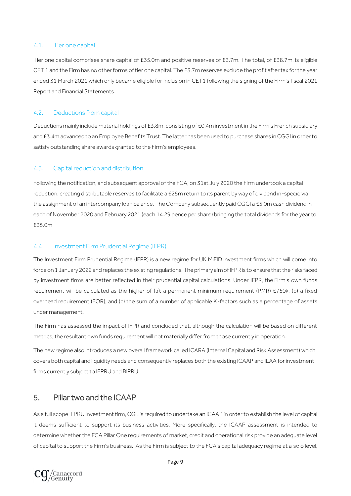#### <span id="page-8-0"></span>4.1. Tier one capital

Tier one capital comprises share capital of £35.0m and positive reserves of £3.7m. The total, of £38.7m, is eligible CET 1 and the Firm has no other forms of tier one capital. The £3.7m reserves exclude the profit after tax for the year ended 31 March 2021 which only became eligible for inclusion in CET1 following the signing of the Firm's fiscal 2021 Report and Financial Statements.

#### <span id="page-8-1"></span>4.2. Deductions from capital

Deductions mainly include material holdings of £3.8m, consisting of £0.4m investment in the Firm's French subsidiary and £3.4m advanced to an Employee Benefits Trust. The latter has been used to purchase shares in CGGI in order to satisfy outstanding share awards granted to the Firm's employees.

#### <span id="page-8-2"></span>4.3. Capital reduction and distribution

Following the notification, and subsequent approval of the FCA, on 31st July 2020 the Firm undertook a capital reduction, creating distributable reserves to facilitate a £25m return to its parent by way of dividend in-specie via the assignment of an intercompany loan balance. The Company subsequently paid CGGI a £5.0m cash dividend in each of November 2020 and February 2021 (each 14.29 pence per share) bringing the total dividends for the year to £35.0m.

#### <span id="page-8-3"></span>4.4. Investment Firm Prudential Regime (IFPR)

The Investment Firm Prudential Regime (IFPR) is a new regime for UK MiFID investment firms which will come into force on 1 January 2022 and replaces the existing regulations. The primary aim of IFPR is to ensure that the risks faced by investment firms are better reflected in their prudential capital calculations. Under IFPR, the Firm's own funds requirement will be calculated as the higher of (a): a permanent minimum requirement (PMR) £750k, (b) a fixed overhead requirement (FOR), and (c) the sum of a number of applicable K-factors such as a percentage of assets under management.

The Firm has assessed the impact of IFPR and concluded that, although the calculation will be based on different metrics, the resultant own funds requirement will not materially differ from those currently in operation.

The new regime also introduces a new overall framework called ICARA (Internal Capital and Risk Assessment) which covers both capital and liquidity needs and consequently replaces both the existing ICAAP and ILAA for investment firms currently subject to IFPRU and BIPRU.

### <span id="page-8-4"></span>5. Pillar two and the ICAAP

As a full scope IFPRU investment firm, CGL is required to undertake an ICAAP in order to establish the level of capital it deems sufficient to support its business activities. More specifically, the ICAAP assessment is intended to determine whether the FCA Pillar One requirements of market, credit and operational risk provide an adequate level of capital to support the Firm's business. As the Firm is subject to the FCA's capital adequacy regime at a solo level,

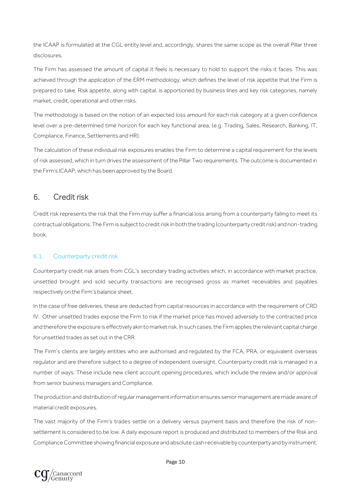the ICAAP is formulated at the CGL entity level and, accordingly, shares the same scope as the overall Pillar three disclosures.

The Firm has assessed the amount of capital it feels is necessary to hold to support the risks it faces. This was achieved through the application of the ERM methodology, which defines the level of risk appetite that the Firm is prepared to take. Risk appetite, along with capital, is apportioned by business lines and key risk categories, namely market, credit, operational and other risks.

The methodology is based on the notion of an expected loss amount for each risk category at a given confidence level over a pre-determined time horizon for each key functional area, (e.g. Trading, Sales, Research, Banking, IT, Compliance, Finance, Settlements and HR).

The calculation of these individual risk exposures enables the Firm to determine a capital requirement for the levels of risk assessed, which in turn drives the assessment of the Pillar Two requirements. The outcome is documented in the Firm's ICAAP, which has been approved by the Board.

### <span id="page-9-0"></span>6. Credit risk

Credit risk represents the risk that the Firm may suffer a financial loss arising from a counterparty failing to meet its contractual obligations. The Firm is subject to credit risk in both the trading (counterparty credit risk) and non-trading book.

#### <span id="page-9-1"></span>6.1. Counterparty credit risk

Counterparty credit risk arises from CGL's secondary trading activities which, in accordance with market practice, unsettled brought and sold security transactions are recognised gross as market receivables and payables respectively on the Firm's balance sheet.

In the case of free deliveries, these are deducted from capital resources in accordance with the requirement of CRD IV. Other unsettled trades expose the Firm to risk if the market price has moved adversely to the contracted price and therefore the exposure is effectively akin to market risk. In such cases, the Firm applies the relevant capital charge for unsettled trades as set out in the CRR.

The Firm's clients are largely entities who are authorised and regulated by the FCA, PRA, or equivalent overseas regulator and are therefore subject to a degree of independent oversight. Counterparty credit risk is managed in a number of ways. These include new client account opening procedures, which include the review and/or approval from senior business managers and Compliance.

The production and distribution of regular management information ensures senior management are made aware of material credit exposures.

The vast majority of the Firm's trades settle on a delivery versus payment basis and therefore the risk of nonsettlement is considered to be low. A daily exposure report is produced and distributed to members of the Risk and Compliance Committee showing financial exposure and absolute cash receivable by counterparty and by instrument.

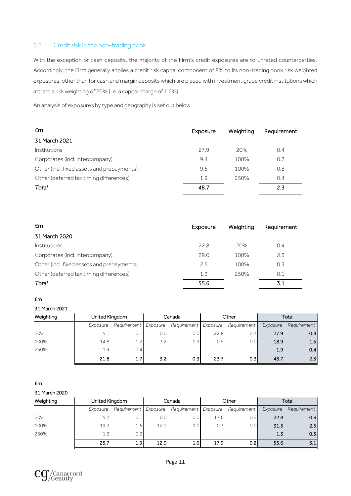#### <span id="page-10-0"></span>6.2. Credit risk in the non-trading book

With the exception of cash deposits, the majority of the Firm's credit exposures are to unrated counterparties. Accordingly, the Firm generally applies a credit risk capital component of 8% to its non-trading book risk weighted exposures, other than for cash and margin deposits which are placed with investment grade credit institutions which attract a risk weighting of 20% (i.e. a capital charge of 1.6%).

An analysis of exposures by type and geography is set out below.

| £m                                         | Exposure | Weighting | Requirement |
|--------------------------------------------|----------|-----------|-------------|
| 31 March 2021                              |          |           |             |
| <i><u><b>Institutions</b></u></i>          | 27.9     | 20%       | 0.4         |
| Corporates (incl. intercompany)            | 9.4      | 100%      | 0.7         |
| Other (incl. fixed assets and prepayments) | 9.5      | 100%      | 0.8         |
| Other (deferred tax timing differences)    | 1.9      | 250%      | 0.4         |
| Total                                      | 48.7     |           | 2.3         |

| £m                                         | Exposure | Weighting | Requirement |
|--------------------------------------------|----------|-----------|-------------|
| 31 March 2020                              |          |           |             |
| Institutions                               | 22.8     | 20%       | 0.4         |
| Corporates (incl. intercompany)            | 29.0     | 100%      | 2.3         |
| Other (incl. fixed assets and prepayments) | 2.5      | 100%      | 0.3         |
| Other (deferred tax timing differences)    | 1.3      | 250%      | 0.1         |
| Total                                      | 55.6     |           | 3.1         |

#### £m

31 March 2021

| Weighting<br>United Kingdom |          | Canada               |     | Other                |      | Total            |          |             |
|-----------------------------|----------|----------------------|-----|----------------------|------|------------------|----------|-------------|
|                             | Exposure | Requirement Exposure |     | Requirement Exposure |      | Requirement      | Exposure | Requirement |
| 20%                         | 5.1      |                      | 0.0 | 0.0                  | 22.8 | 0.31             | 27.9     | 0.4         |
| 100%                        | 14.8     | 12                   | 3.2 | 0.3                  | 0.9  | 0.0 <sub>l</sub> | 18.9     | 1.5         |
| 250%                        | 1.9      | 0.4                  |     |                      |      |                  | 1.9      | 0.4         |
|                             | 21.8     | 1.7                  | 3.2 | 0.3                  | 23.7 | 0.3 <sub>l</sub> | 48.7     | 2.3         |

#### £m

31 March 2020

| Weighting<br>United Kingdom |          | Canada               |      | Other                |      | Total            |          |             |
|-----------------------------|----------|----------------------|------|----------------------|------|------------------|----------|-------------|
|                             | Exposure | Requirement Exposure |      | Requirement Exposure |      | Requirement      | Exposure | Requirement |
| 20%                         | 5.2      |                      | 0.0  | 0.0                  | 17.6 | 0.2              | 22.8     | 0.3         |
| 100%                        | 19.2     | 1.5                  | 12.0 | 1.0                  | 0.3  | 0.0 <sub>l</sub> | 31.5     | 2.5         |
| 250%                        | 1.3      | 0.3                  |      |                      |      |                  | 1.5      | 0.3         |
|                             | 25.7     | 1.9 <sub>l</sub>     | 12.0 | 1.0                  | 17.9 | 0.21             | 55.6     | 3.1         |

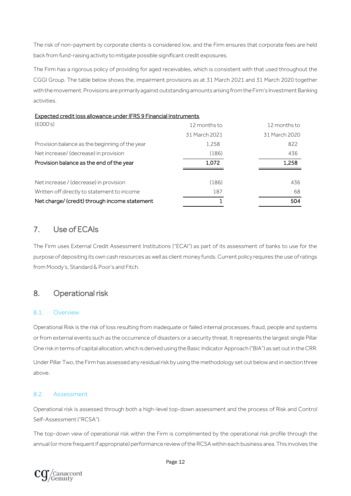The risk of non-payment by corporate clients is considered low, and the Firm ensures that corporate fees are held back from fund-raising activity to mitigate possible significant credit exposures.

The Firm has a rigorous policy of providing for aged receivables, which is consistent with that used throughout the CGGI Group. The table below shows the, impairment provisions as at 31 March 2021 and 31 March 2020 together with the movement. Provisions are primarily against outstanding amounts arising from the Firm's Investment Banking activities.

#### Expected credit loss allowance under IFRS 9 Financial Instruments

| (6000's)                                       | 12 months to  | 12 months to  |
|------------------------------------------------|---------------|---------------|
|                                                | 31 March 2021 | 31 March 2020 |
| Provision balance as the beginning of the year | 1.258         | 822           |
| Net increase/ (decrease) in provision          | (186)         | 436           |
| Provision balance as the end of the year       | 1,072         | 1,258         |
|                                                |               |               |
| Net increase / (decrease) in provision         | (186)         | 436           |
| Written off directly to statement to income    | 187           | 68            |
| Net charge/ (credit) through income statement  |               | 504           |

### <span id="page-11-0"></span>7. Use of ECAIs

The Firm uses External Credit Assessment Institutions ("ECAI") as part of its assessment of banks to use for the purpose of depositing its own cash resources as well as client money funds. Current policy requires the use of ratings from Moody's, Standard & Poor's and Fitch.

### <span id="page-11-1"></span>8. Operational risk

#### <span id="page-11-2"></span>8.1. Overview

Operational Risk is the risk of loss resulting from inadequate or failed internal processes, fraud, people and systems or from external events such as the occurrence of disasters or a security threat. It represents the largest single Pillar One risk in terms of capital allocation, which is derived using the Basic Indicator Approach ("BIA") as set out in the CRR.

Under Pillar Two, the Firm has assessed any residual risk by using the methodology set out below and in section three above.

#### <span id="page-11-3"></span>8.2. Assessment

Operational risk is assessed through both a high-level top-down assessment and the process of Risk and Control Self-Assessment ("RCSA").

The top-down view of operational risk within the Firm is complimented by the operational risk profile through the annual (or more frequent if appropriate) performance review of the RCSA within each business area. This involves the

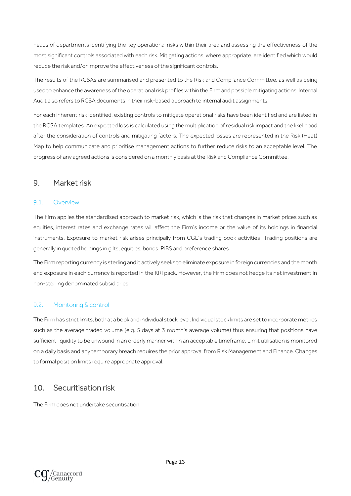heads of departments identifying the key operational risks within their area and assessing the effectiveness of the most significant controls associated with each risk. Mitigating actions, where appropriate, are identified which would reduce the risk and/or improve the effectiveness of the significant controls.

The results of the RCSAs are summarised and presented to the Risk and Compliance Committee, as well as being used to enhance the awareness of the operational risk profiles within the Firm and possible mitigating actions. Internal Audit also refers to RCSA documents in their risk-based approach to internal audit assignments.

For each inherent risk identified, existing controls to mitigate operational risks have been identified and are listed in the RCSA templates. An expected loss is calculated using the multiplication of residual risk impact and the likelihood after the consideration of controls and mitigating factors. The expected losses are represented in the Risk (Heat) Map to help communicate and prioritise management actions to further reduce risks to an acceptable level. The progress of any agreed actions is considered on a monthly basis at the Risk and Compliance Committee.

### <span id="page-12-0"></span>9. Market risk

#### <span id="page-12-1"></span>9.1. Overview

The Firm applies the standardised approach to market risk, which is the risk that changes in market prices such as equities, interest rates and exchange rates will affect the Firm's income or the value of its holdings in financial instruments. Exposure to market risk arises principally from CGL's trading book activities. Trading positions are generally in quoted holdings in gilts, equities, bonds, PIBS and preference shares.

The Firm reporting currency is sterling and it actively seeks to eliminate exposure in foreign currencies and the month end exposure in each currency is reported in the KRI pack. However, the Firm does not hedge its net investment in non-sterling denominated subsidiaries.

#### <span id="page-12-2"></span>9.2. Monitoring & control

The Firm has strict limits, both at a book and individual stock level. Individual stock limits are set to incorporate metrics such as the average traded volume (e.g. 5 days at 3 month's average volume) thus ensuring that positions have sufficient liquidity to be unwound in an orderly manner within an acceptable timeframe. Limit utilisation is monitored on a daily basis and any temporary breach requires the prior approval from Risk Management and Finance. Changes to formal position limits require appropriate approval.

### <span id="page-12-3"></span>10. Securitisation risk

The Firm does not undertake securitisation.

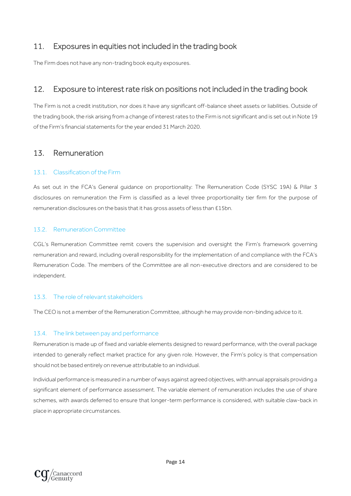### <span id="page-13-0"></span>11. Exposures in equities not included in the trading book

<span id="page-13-1"></span>The Firm does not have any non-trading book equity exposures.

### 12. Exposure to interest rate risk on positions not included in the trading book

The Firm is not a credit institution, nor does it have any significant off-balance sheet assets or liabilities. Outside of the trading book, the risk arising from a change of interest rates to the Firm is not significant and is set out in Note 19 of the Firm's financial statements for the year ended 31 March 2020.

### <span id="page-13-2"></span>13. Remuneration

#### <span id="page-13-3"></span>13.1. Classification of the Firm

As set out in the FCA's General guidance on proportionality: The Remuneration Code (SYSC 19A) & Pillar 3 disclosures on remuneration the Firm is classified as a level three proportionality tier firm for the purpose of remuneration disclosures on the basis that it has gross assets of less than £15bn.

#### <span id="page-13-4"></span>13.2. Remuneration Committee

CGL's Remuneration Committee remit covers the supervision and oversight the Firm's framework governing remuneration and reward, including overall responsibility for the implementation of and compliance with the FCA's Remuneration Code. The members of the Committee are all non-executive directors and are considered to be independent.

#### <span id="page-13-5"></span>13.3. The role of relevant stakeholders

The CEO is not a member of the Remuneration Committee, although he may provide non-binding advice to it.

#### <span id="page-13-6"></span>13.4. The link between pay and performance

Remuneration is made up of fixed and variable elements designed to reward performance, with the overall package intended to generally reflect market practice for any given role. However, the Firm's policy is that compensation should not be based entirely on revenue attributable to an individual.

Individual performance is measured in a number of ways against agreed objectives, with annual appraisals providing a significant element of performance assessment. The variable element of remuneration includes the use of share schemes, with awards deferred to ensure that longer-term performance is considered, with suitable claw-back in place in appropriate circumstances.

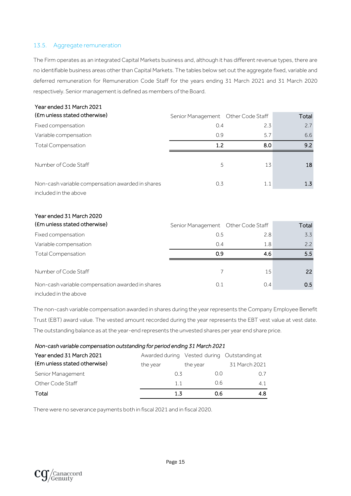#### <span id="page-14-0"></span>13.5. Aggregate remuneration

The Firm operates as an integrated Capital Markets business and, although it has different revenue types, there are no identifiable business areas other than Capital Markets. The tables below set out the aggregate fixed, variable and deferred remuneration for Remuneration Code Staff for the years ending 31 March 2021 and 31 March 2020 respectively. Senior management is defined as members of the Board.

| Year ended 31 March 2021                                                  |                                     |     |                  |
|---------------------------------------------------------------------------|-------------------------------------|-----|------------------|
| (Em unless stated otherwise)                                              | Senior Management  Other Code Staff |     | Total            |
| Fixed compensation                                                        | 0.4                                 | 2.3 | 2.7              |
| Variable compensation                                                     | 0.9                                 | 5.7 | 6.6              |
| <b>Total Compensation</b>                                                 | 1.2                                 | 8.0 | 9.2              |
| Number of Code Staff                                                      | 5                                   | 13  | 18               |
| Non-cash variable compensation awarded in shares<br>included in the above | 0.3                                 | 1.1 | 1.3 <sub>1</sub> |

## Year ended 31 March 2020

| (Em unless stated otherwise)                     | Senior Management Other Code Staff |     | Total |
|--------------------------------------------------|------------------------------------|-----|-------|
| Fixed compensation                               | 0.5                                | 2.8 | 3.3   |
| Variable compensation                            | 0.4                                | 1.8 | 2.2   |
| <b>Total Compensation</b>                        | 0.9                                | 4.6 | 5.5   |
|                                                  |                                    |     |       |
| Number of Code Staff                             |                                    | 15  | 22    |
| Non-cash variable compensation awarded in shares | 0.1                                | 0.4 | 0.5   |
| included in the above                            |                                    |     |       |

The non-cash variable compensation awarded in shares during the year represents the Company Employee Benefit Trust (EBT) award value. The vested amount recorded during the year represents the EBT vest value at vest date. The outstanding balance as at the year-end represents the unvested shares per year end share price.

| Non-cash variable compensation outstanding for period ending 31 March 2021 |                                             |          |               |  |  |  |
|----------------------------------------------------------------------------|---------------------------------------------|----------|---------------|--|--|--|
| Year ended 31 March 2021                                                   | Awarded during Vested during Outstanding at |          |               |  |  |  |
| (Em unless stated otherwise)                                               | the year                                    | the year | 31 March 2021 |  |  |  |
| Senior Management                                                          | O 3                                         | 0.0      | 0.7           |  |  |  |
| Other Code Staff                                                           | 11                                          | 0.6      | 4.1           |  |  |  |
| Total                                                                      | 1.3                                         | 0.6      | 4.8           |  |  |  |

There were no severance payments both in fiscal 2021 and in fiscal 2020.